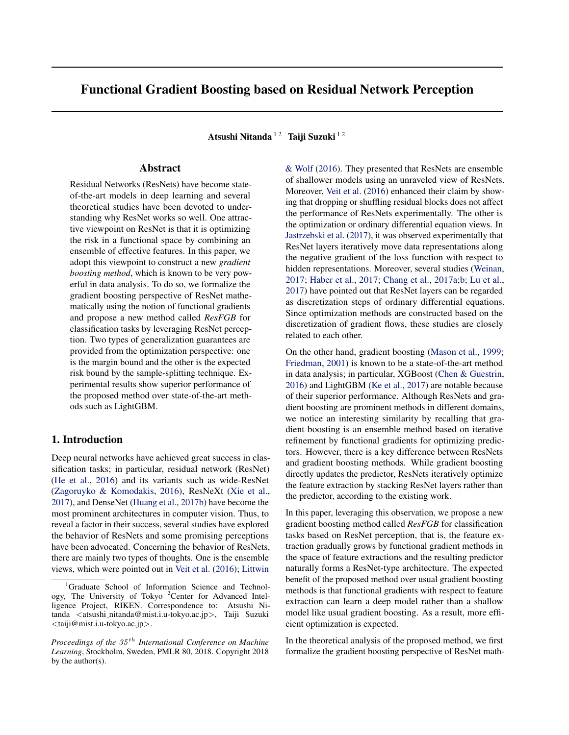# Functional Gradient Boosting based on Residual Network Perception

Atsushi Nitanda  $12$  Taiji Suzuki  $12$ 

## Abstract

Residual Networks (ResNets) have become stateof-the-art models in deep learning and several theoretical studies have been devoted to understanding why ResNet works so well. One attractive viewpoint on ResNet is that it is optimizing the risk in a functional space by combining an ensemble of effective features. In this paper, we adopt this viewpoint to construct a new *gradient boosting method*, which is known to be very powerful in data analysis. To do so, we formalize the gradient boosting perspective of ResNet mathematically using the notion of functional gradients and propose a new method called *ResFGB* for classification tasks by leveraging ResNet perception. Two types of generalization guarantees are provided from the optimization perspective: one is the margin bound and the other is the expected risk bound by the sample-splitting technique. Experimental results show superior performance of the proposed method over state-of-the-art methods such as LightGBM.

## 1. Introduction

Deep neural networks have achieved great success in classification tasks; in particular, residual network (ResNet) [\(He et al.,](#page-8-0) [2016\)](#page-8-0) and its variants such as wide-ResNet [\(Zagoruyko & Komodakis,](#page-9-0) [2016\)](#page-9-0), ResNeXt [\(Xie et al.,](#page-9-0) [2017\)](#page-9-0), and DenseNet [\(Huang et al.,](#page-8-0) [2017b\)](#page-8-0) have become the most prominent architectures in computer vision. Thus, to reveal a factor in their success, several studies have explored the behavior of ResNets and some promising perceptions have been advocated. Concerning the behavior of ResNets, there are mainly two types of thoughts. One is the ensemble views, which were pointed out in [Veit et al.](#page-9-0) [\(2016\)](#page-9-0); [Littwin](#page-8-0)

[& Wolf](#page-8-0) [\(2016\)](#page-8-0). They presented that ResNets are ensemble of shallower models using an unraveled view of ResNets. Moreover, [Veit et al.](#page-9-0) [\(2016\)](#page-9-0) enhanced their claim by showing that dropping or shuffling residual blocks does not affect the performance of ResNets experimentally. The other is the optimization or ordinary differential equation views. In [Jastrzebski et al.](#page-8-0) [\(2017\)](#page-8-0), it was observed experimentally that ResNet layers iteratively move data representations along the negative gradient of the loss function with respect to hidden representations. Moreover, several studies [\(Weinan,](#page-9-0) [2017;](#page-9-0) [Haber et al.,](#page-8-0) [2017;](#page-8-0) [Chang et al.,](#page-8-0) [2017a;b;](#page-8-0) [Lu et al.,](#page-8-0) [2017\)](#page-8-0) have pointed out that ResNet layers can be regarded as discretization steps of ordinary differential equations. Since optimization methods are constructed based on the discretization of gradient flows, these studies are closely related to each other.

On the other hand, gradient boosting [\(Mason et al.,](#page-8-0) [1999;](#page-8-0) [Friedman,](#page-8-0) [2001\)](#page-8-0) is known to be a state-of-the-art method in data analysis; in particular, XGBoost [\(Chen & Guestrin,](#page-8-0) [2016\)](#page-8-0) and LightGBM [\(Ke et al.,](#page-8-0) [2017\)](#page-8-0) are notable because of their superior performance. Although ResNets and gradient boosting are prominent methods in different domains, we notice an interesting similarity by recalling that gradient boosting is an ensemble method based on iterative refinement by functional gradients for optimizing predictors. However, there is a key difference between ResNets and gradient boosting methods. While gradient boosting directly updates the predictor, ResNets iteratively optimize the feature extraction by stacking ResNet layers rather than the predictor, according to the existing work.

In this paper, leveraging this observation, we propose a new gradient boosting method called *ResFGB* for classification tasks based on ResNet perception, that is, the feature extraction gradually grows by functional gradient methods in the space of feature extractions and the resulting predictor naturally forms a ResNet-type architecture. The expected benefit of the proposed method over usual gradient boosting methods is that functional gradients with respect to feature extraction can learn a deep model rather than a shallow model like usual gradient boosting. As a result, more efficient optimization is expected.

In the theoretical analysis of the proposed method, we first formalize the gradient boosting perspective of ResNet math-

<sup>&</sup>lt;sup>1</sup>[Graduate School of Information Science and Technol](#page-8-0)[ogy, The University of Tokyo](#page-8-0)<sup>2</sup>Center for Advanced Intel[ligence Project, RIKEN. Correspondence to: Atsushi Ni](#page-8-0)tanda <atsushi [nitanda@mist.i.u-tokyo.ac.jp](#page-8-0)>, Taiji Suzuki <[taiji@mist.i.u-tokyo.ac.jp](#page-8-0)>.

*Proceedings of the* 35 th *[International Conference on Machine](#page-8-0) Learning*[, Stockholm, Sweden, PMLR 80, 2018. Copyright 2018](#page-8-0) [by the author\(s\).](#page-8-0)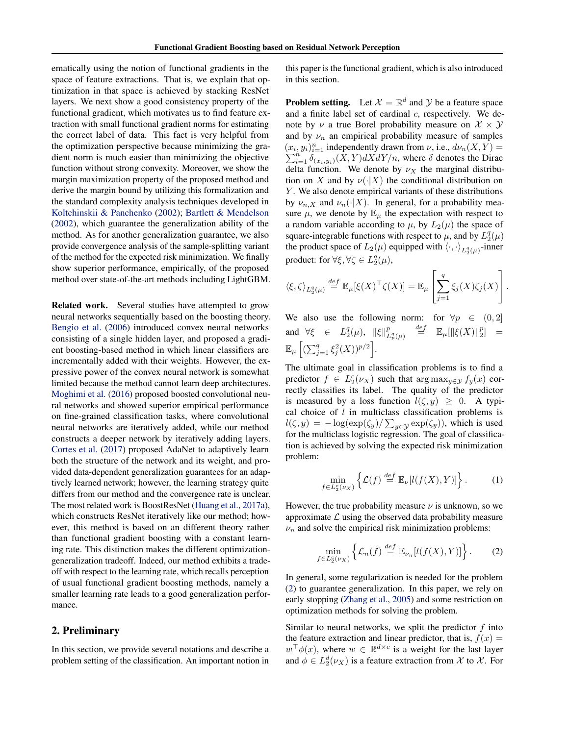<span id="page-1-0"></span>ematically using the notion of functional gradients in the space of feature extractions. That is, we explain that optimization in that space is achieved by stacking ResNet layers. We next show a good consistency property of the functional gradient, which motivates us to find feature extraction with small functional gradient norms for estimating the correct label of data. This fact is very helpful from the optimization perspective because minimizing the gradient norm is much easier than minimizing the objective function without strong convexity. Moreover, we show the margin maximization property of the proposed method and derive the margin bound by utilizing this formalization and the standard complexity analysis techniques developed in [Koltchinskii & Panchenko](#page-8-0) [\(2002\)](#page-8-0); [Bartlett & Mendelson](#page-8-0) [\(2002\)](#page-8-0), which guarantee the generalization ability of the method. As for another generalization guarantee, we also provide convergence analysis of the sample-splitting variant of the method for the expected risk minimization. We finally show superior performance, empirically, of the proposed method over state-of-the-art methods including LightGBM.

Related work. Several studies have attempted to grow neural networks sequentially based on the boosting theory. [Bengio et al.](#page-8-0) [\(2006\)](#page-8-0) introduced convex neural networks consisting of a single hidden layer, and proposed a gradient boosting-based method in which linear classifiers are incrementally added with their weights. However, the expressive power of the convex neural network is somewhat limited because the method cannot learn deep architectures. [Moghimi et al.](#page-8-0) [\(2016\)](#page-8-0) proposed boosted convolutional neural networks and showed superior empirical performance on fine-grained classification tasks, where convolutional neural networks are iteratively added, while our method constructs a deeper network by iteratively adding layers. [Cortes et al.](#page-8-0) [\(2017\)](#page-8-0) proposed AdaNet to adaptively learn both the structure of the network and its weight, and provided data-dependent generalization guarantees for an adaptively learned network; however, the learning strategy quite differs from our method and the convergence rate is unclear. The most related work is BoostResNet [\(Huang et al.,](#page-8-0) [2017a\)](#page-8-0), which constructs ResNet iteratively like our method; however, this method is based on an different theory rather than functional gradient boosting with a constant learning rate. This distinction makes the different optimizationgeneralization tradeoff. Indeed, our method exhibits a tradeoff with respect to the learning rate, which recalls perception of usual functional gradient boosting methods, namely a smaller learning rate leads to a good generalization performance.

#### 2. Preliminary

In this section, we provide several notations and describe a problem setting of the classification. An important notion in this paper is the functional gradient, which is also introduced in this section.

**Problem setting.** Let  $\mathcal{X} = \mathbb{R}^d$  and  $\mathcal{Y}$  be a feature space and a finite label set of cardinal  $c$ , respectively. We denote by  $\nu$  a true Borel probability measure on  $\mathcal{X} \times \mathcal{Y}$ and by  $\nu_n$  an empirical probability measure of samples  $(x_i, y_i)_{i=1}^n$  independently drawn from  $\nu$ , i.e.,  $d\nu_n(X, Y) =$  $\sum_{i=1}^{n} \delta_{(x_i,y_i)}(X,Y) dX dY/n$ , where  $\delta$  denotes the Dirac delta function. We denote by  $\nu_X$  the marginal distribution on X and by  $\nu(\cdot|X)$  the conditional distribution on Y. We also denote empirical variants of these distributions by  $\nu_{n,X}$  and  $\nu_n(\cdot|X)$ . In general, for a probability measure  $\mu$ , we denote by  $\mathbb{E}_{\mu}$  the expectation with respect to a random variable according to  $\mu$ , by  $L_2(\mu)$  the space of square-integrable functions with respect to  $\mu$ , and by  $L_2^q(\mu)$ the product space of  $L_2(\mu)$  equipped with  $\langle \cdot, \cdot \rangle_{L_2^q(\mu)}$ -inner product: for  $\forall \xi, \forall \zeta \in L_2^q(\mu)$ ,

$$
\langle \xi, \zeta \rangle_{L_2^q(\mu)} \stackrel{def}{=} \mathbb{E}_{\mu}[\xi(X)^\top \zeta(X)] = \mathbb{E}_{\mu} \left[ \sum_{j=1}^q \xi_j(X) \zeta_j(X) \right].
$$

We also use the following norm: for  $\forall p \in (0,2]$ and  $\forall \xi \in L_2^q(\mu), \|\xi\|_L^p$  $L_p^q(\mu)$  $\stackrel{def}{=}$   $\mathbb{E}_{\mu}[\|\xi(X)\|_2^p] =$  $\mathbb{E}_{\mu}\left[ (\sum_{j=1}^q \xi_j^2(X))^{p/2} \right].$ 

The ultimate goal in classification problems is to find a predictor  $f \in L_2^c(\nu_X)$  such that  $\arg \max_{y \in \mathcal{Y}} f_y(x)$  correctly classifies its label. The quality of the predictor is measured by a loss function  $l(\zeta, y) \geq 0$ . A typical choice of  $l$  in multiclass classification problems is  $l(\zeta, y) = -\log(\exp(\zeta_y)/\sum_{\overline{y} \in \mathcal{Y}} \exp(\zeta_{\overline{y}}))$ , which is used for the multiclass logistic regression. The goal of classification is achieved by solving the expected risk minimization problem:

$$
\min_{f \in L_2^c(\nu_X)} \left\{ \mathcal{L}(f) \stackrel{\text{def}}{=} \mathbb{E}_{\nu}[l(f(X), Y)] \right\}. \tag{1}
$$

However, the true probability measure  $\nu$  is unknown, so we approximate  $\mathcal L$  using the observed data probability measure  $\nu_n$  and solve the empirical risk minimization problems:

$$
\min_{f \in L_2^c(\nu_X)} \left\{ \mathcal{L}_n(f) \stackrel{\text{def}}{=} \mathbb{E}_{\nu_n}[l(f(X), Y)] \right\}.
$$
 (2)

In general, some regularization is needed for the problem (2) to guarantee generalization. In this paper, we rely on early stopping [\(Zhang et al.,](#page-9-0) [2005\)](#page-9-0) and some restriction on optimization methods for solving the problem.

Similar to neural networks, we split the predictor  $f$  into the feature extraction and linear predictor, that is,  $f(x) =$  $w^{\top} \phi(x)$ , where  $w \in \mathbb{R}^{d \times c}$  is a weight for the last layer and  $\phi \in L_2^d(\nu_X)$  is a feature extraction from X to X. For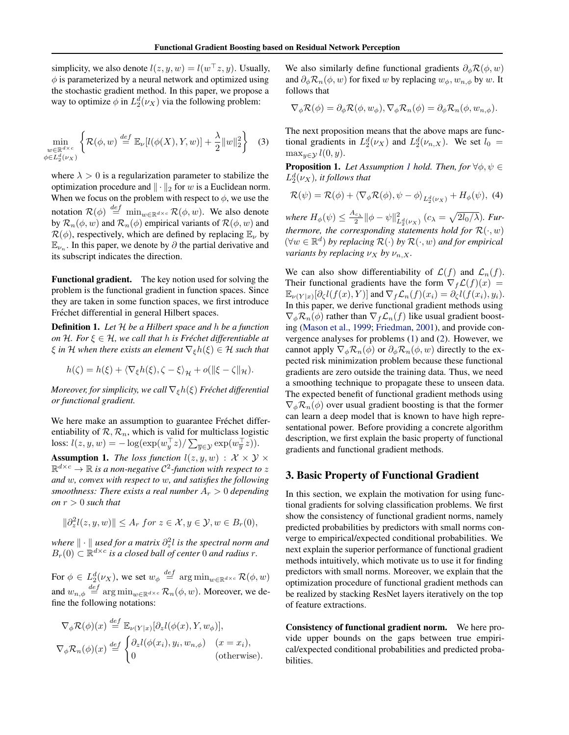<span id="page-2-0"></span>simplicity, we also denote  $l(z, y, w) = l(w^\top z, y)$ . Usually,  $\phi$  is parameterized by a neural network and optimized using the stochastic gradient method. In this paper, we propose a way to optimize  $\phi$  in  $L_2^d(\nu_X)$  via the following problem:

$$
\min_{\substack{w \in \mathbb{R}^{d \times c} \\ \phi \in L_2^d(\nu_X)}} \left\{ \mathcal{R}(\phi, w) \stackrel{\text{def}}{=} \mathbb{E}_{\nu} [l(\phi(X), Y, w)] + \frac{\lambda}{2} ||w||_2^2 \right\} \tag{3}
$$

where  $\lambda > 0$  is a regularization parameter to stabilize the optimization procedure and  $\|\cdot\|_2$  for w is a Euclidean norm. When we focus on the problem with respect to  $\phi$ , we use the notation  $\mathcal{R}(\phi) \stackrel{def}{=} \min_{w \in \mathbb{R}^{d \times c}} \mathcal{R}(\phi, w)$ . We also denote by  $\mathcal{R}_n(\phi, w)$  and  $\mathcal{R}_n(\phi)$  empirical variants of  $\mathcal{R}(\phi, w)$  and  $\mathcal{R}(\phi)$ , respectively, which are defined by replacing  $\mathbb{E}_{\nu}$  by  $\mathbb{E}_{\nu_n}$ . In this paper, we denote by  $\partial$  the partial derivative and its subscript indicates the direction.

Functional gradient. The key notion used for solving the problem is the functional gradient in function spaces. Since they are taken in some function spaces, we first introduce Fréchet differential in general Hilbert spaces.

Definition 1. *Let* H *be a Hilbert space and* h *be a function on*  $H$ *. For*  $\xi \in H$ *, we call that*  $h$  *is Fréchet differentiable at*  $\xi$  *in* H when there exists an element  $\nabla_{\xi}h(\xi) \in \mathcal{H}$  such that

$$
h(\zeta) = h(\xi) + \langle \nabla_{\xi} h(\xi), \zeta - \xi \rangle_{\mathcal{H}} + o(\|\xi - \zeta\|_{\mathcal{H}}).
$$

*Moreover, for simplicity, we call*  $\nabla_{\xi}h(\xi)$  *Fréchet differential or functional gradient.*

We here make an assumption to guarantee Fréchet differentiability of  $\mathcal{R}, \mathcal{R}_n$ , which is valid for multiclass logistic loss:  $l(z, y, w) = -\log(\exp(w_y^{\top} z)/\sum_{\overline{y} \in \mathcal{Y}} \exp(w_{\overline{y}}^{\top} z)).$ 

**Assumption 1.** *The loss function*  $l(z, y, w) : \mathcal{X} \times \mathcal{Y} \times \mathcal{Y}$  $\mathbb{R}^{d \times c} \to \mathbb{R}$  is a non-negative  $\mathcal{C}^2$ -function with respect to z *and* w*, convex with respect to* w*, and satisfies the following smoothness: There exists a real number*  $A_r > 0$  *depending on*  $r > 0$  *such that* 

$$
\|\partial_z^2 l(z,y,w)\| \le A_r \text{ for } z \in \mathcal{X}, y \in \mathcal{Y}, w \in B_r(0),
$$

*where*  $\| \cdot \|$  *used for a matrix*  $\partial_z^2 l$  *is the spectral norm and*  $B_r(0) \subset \mathbb{R}^{d \times c}$  is a closed ball of center 0 and radius r.

For  $\phi \in L_2^d(\nu_X)$ , we set  $w_{\phi} \stackrel{def}{=} \arg \min_{w \in \mathbb{R}^{d \times c}} \mathcal{R}(\phi, w)$ and  $w_{n,\phi} \stackrel{def}{=} \arg \min_{w \in \mathbb{R}^{d \times c}} \mathcal{R}_n(\phi, w)$ . Moreover, we define the following notations:

$$
\nabla_{\phi} \mathcal{R}(\phi)(x) \stackrel{def}{=} \mathbb{E}_{\nu(Y|x)}[\partial_z l(\phi(x), Y, w_{\phi})],
$$
  

$$
\nabla_{\phi} \mathcal{R}_n(\phi)(x) \stackrel{def}{=} \begin{cases} \partial_z l(\phi(x_i), y_i, w_{n,\phi}) & (x = x_i), \\ 0 & \text{(otherwise)}. \end{cases}
$$

We also similarly define functional gradients  $\partial_{\phi} \mathcal{R}(\phi, w)$ and  $\partial_{\phi} \mathcal{R}_n(\phi, w)$  for fixed w by replacing  $w_{\phi}, w_{n, \phi}$  by w. It follows that

$$
\nabla_{\phi} \mathcal{R}(\phi) = \partial_{\phi} \mathcal{R}(\phi, w_{\phi}), \nabla_{\phi} \mathcal{R}_n(\phi) = \partial_{\phi} \mathcal{R}_n(\phi, w_{n, \phi}).
$$

The next proposition means that the above maps are functional gradients in  $L_2^d(\nu_X)$  and  $L_2^d(\nu_{n,X})$ . We set  $l_0 =$  $\max_{y \in \mathcal{Y}} l(0, y)$ .

**Proposition 1.** *Let Assumption 1 hold. Then, for*  $\forall \phi, \psi \in$  $L_2^d(\nu_X)$ , it follows that

$$
\mathcal{R}(\psi) = \mathcal{R}(\phi) + \langle \nabla_{\phi} \mathcal{R}(\phi), \psi - \phi \rangle_{L_2^d(\nu_X)} + H_{\phi}(\psi), \tag{4}
$$

where  $H_{\phi}(\psi) \leq \frac{A_{c_{\lambda}}}{2} \|\phi - \psi\|_{L_2^d(\nu_X)}^2$   $(c_{\lambda} = \sqrt{2l_0/\lambda})$ . Fur*thermore, the corresponding statements hold for*  $\mathcal{R}(\cdot, w)$ (∀w ∈ R d ) *by replacing* R(·) *by* R(·, w) *and for empirical variants by replacing*  $\nu_X$  *by*  $\nu_{n,X}$ *.* 

We can also show differentiability of  $\mathcal{L}(f)$  and  $\mathcal{L}_n(f)$ . Their functional gradients have the form  $\nabla_f \mathcal{L}(f)(x) =$  $\mathbb{E}_{\nu(Y|x)}[\partial_{\zeta}l(f(x),Y)]$  and  $\nabla_f \mathcal{L}_n(f)(x_i) = \partial_{\zeta}l(f(x_i), y_i)$ . In this paper, we derive functional gradient methods using  $\nabla_{\phi} \mathcal{R}_n(\phi)$  rather than  $\nabla_f \mathcal{L}_n(f)$  like usual gradient boosting [\(Mason et al.,](#page-8-0) [1999;](#page-8-0) [Friedman,](#page-8-0) [2001\)](#page-8-0), and provide convergence analyses for problems [\(1\)](#page-1-0) and [\(2\)](#page-1-0). However, we cannot apply  $\nabla_{\phi} \mathcal{R}_n(\phi)$  or  $\partial_{\phi} \mathcal{R}_n(\phi, w)$  directly to the expected risk minimization problem because these functional gradients are zero outside the training data. Thus, we need a smoothing technique to propagate these to unseen data. The expected benefit of functional gradient methods using  $\nabla_{\phi} \mathcal{R}_n(\phi)$  over usual gradient boosting is that the former can learn a deep model that is known to have high representational power. Before providing a concrete algorithm description, we first explain the basic property of functional gradients and functional gradient methods.

#### 3. Basic Property of Functional Gradient

In this section, we explain the motivation for using functional gradients for solving classification problems. We first show the consistency of functional gradient norms, namely predicted probabilities by predictors with small norms converge to empirical/expected conditional probabilities. We next explain the superior performance of functional gradient methods intuitively, which motivate us to use it for finding predictors with small norms. Moreover, we explain that the optimization procedure of functional gradient methods can be realized by stacking ResNet layers iteratively on the top of feature extractions.

Consistency of functional gradient norm. We here provide upper bounds on the gaps between true empirical/expected conditional probabilities and predicted probabilities.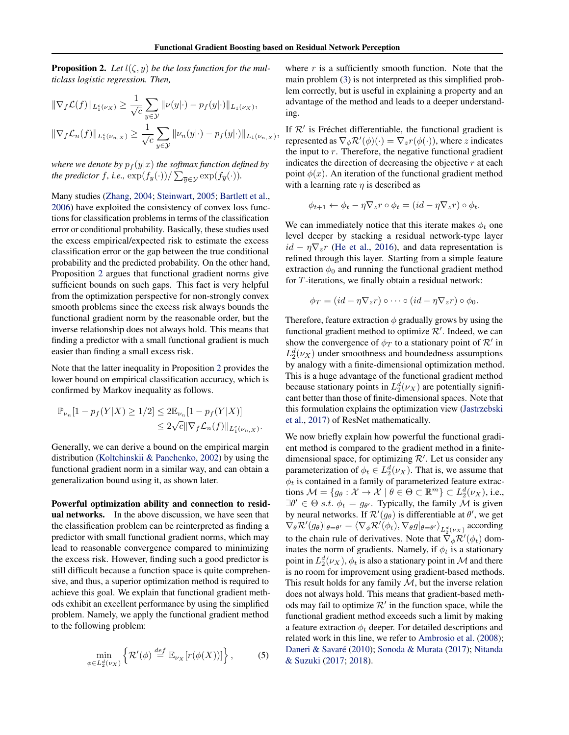<span id="page-3-0"></span>**Proposition 2.** Let  $l(\zeta, y)$  be the loss function for the mul*ticlass logistic regression. Then,*

$$
\begin{aligned} \|\nabla_f \mathcal{L}(f)\|_{L_1^c(\nu_X)} &\geq \frac{1}{\sqrt{c}} \sum_{y \in \mathcal{Y}} \|\nu(y|\cdot) - p_f(y|\cdot) \|_{L_1(\nu_X)},\\ \|\nabla_f \mathcal{L}_n(f)\|_{L_1^c(\nu_{n,X})} &\geq \frac{1}{\sqrt{c}} \sum_{y \in \mathcal{Y}} \|\nu_n(y|\cdot) - p_f(y|\cdot) \|_{L_1(\nu_{n,X})}, \end{aligned}
$$

*where we denote by*  $p_f(y|x)$  *the softmax function defined by the predictor*  $f$ *, i.e.,*  $\exp(f_{y}(\cdot))/\sum_{\overline{y}\in \mathcal{Y}}\exp(f_{\overline{y}}(\cdot)).$ 

Many studies [\(Zhang,](#page-9-0) [2004;](#page-9-0) [Steinwart,](#page-9-0) [2005;](#page-9-0) [Bartlett et al.,](#page-8-0) [2006\)](#page-8-0) have exploited the consistency of convex loss functions for classification problems in terms of the classification error or conditional probability. Basically, these studies used the excess empirical/expected risk to estimate the excess classification error or the gap between the true conditional probability and the predicted probability. On the other hand, Proposition 2 argues that functional gradient norms give sufficient bounds on such gaps. This fact is very helpful from the optimization perspective for non-strongly convex smooth problems since the excess risk always bounds the functional gradient norm by the reasonable order, but the inverse relationship does not always hold. This means that finding a predictor with a small functional gradient is much easier than finding a small excess risk.

Note that the latter inequality in Proposition 2 provides the lower bound on empirical classification accuracy, which is confirmed by Markov inequality as follows.

$$
\mathbb{P}_{\nu_n}[1 - p_f(Y|X) \ge 1/2] \le 2\mathbb{E}_{\nu_n}[1 - p_f(Y|X)]
$$
  

$$
\le 2\sqrt{c} \|\nabla_f \mathcal{L}_n(f)\|_{L_1^c(\nu_{n,X})}.
$$

Generally, we can derive a bound on the empirical margin distribution [\(Koltchinskii & Panchenko,](#page-8-0) [2002\)](#page-8-0) by using the functional gradient norm in a similar way, and can obtain a generalization bound using it, as shown later.

Powerful optimization ability and connection to residual networks. In the above discussion, we have seen that the classification problem can be reinterpreted as finding a predictor with small functional gradient norms, which may lead to reasonable convergence compared to minimizing the excess risk. However, finding such a good predictor is still difficult because a function space is quite comprehensive, and thus, a superior optimization method is required to achieve this goal. We explain that functional gradient methods exhibit an excellent performance by using the simplified problem. Namely, we apply the functional gradient method to the following problem:

$$
\min_{\phi \in L_2^d(\nu_X)} \left\{ \mathcal{R}'(\phi) \stackrel{\text{def}}{=} \mathbb{E}_{\nu_X} [r(\phi(X))] \right\},\tag{5}
$$

where  $r$  is a sufficiently smooth function. Note that the main problem [\(3\)](#page-2-0) is not interpreted as this simplified problem correctly, but is useful in explaining a property and an advantage of the method and leads to a deeper understanding.

If  $\mathcal{R}'$  is Fréchet differentiable, the functional gradient is represented as  $\nabla_{\phi} \mathcal{R}'(\phi)(\cdot) = \nabla_z r(\phi(\cdot))$ , where z indicates the input to  $r$ . Therefore, the negative functional gradient indicates the direction of decreasing the objective  $r$  at each point  $\phi(x)$ . An iteration of the functional gradient method with a learning rate  $\eta$  is described as

$$
\phi_{t+1} \leftarrow \phi_t - \eta \nabla_z r \circ \phi_t = (id - \eta \nabla_z r) \circ \phi_t.
$$

We can immediately notice that this iterate makes  $\phi_t$  one level deeper by stacking a residual network-type layer  $id - \eta \nabla_z r$  [\(He et al.,](#page-8-0) [2016\)](#page-8-0), and data representation is refined through this layer. Starting from a simple feature extraction  $\phi_0$  and running the functional gradient method for T-iterations, we finally obtain a residual network:

$$
\phi_T = (id - \eta \nabla_z r) \circ \cdots \circ (id - \eta \nabla_z r) \circ \phi_0.
$$

Therefore, feature extraction  $\phi$  gradually grows by using the functional gradient method to optimize  $\mathcal{R}'$ . Indeed, we can show the convergence of  $\phi_T$  to a stationary point of  $\mathcal{R}'$  in  $L_2^d(\nu_X)$  under smoothness and boundedness assumptions by analogy with a finite-dimensional optimization method. This is a huge advantage of the functional gradient method because stationary points in  $L_2^d(\nu_X)$  are potentially significant better than those of finite-dimensional spaces. Note that this formulation explains the optimization view [\(Jastrzebski](#page-8-0) [et al.,](#page-8-0) [2017\)](#page-8-0) of ResNet mathematically.

We now briefly explain how powerful the functional gradient method is compared to the gradient method in a finitedimensional space, for optimizing  $\mathcal{R}'$ . Let us consider any parameterization of  $\phi_t \in L_2^d(\nu_X)$ . That is, we assume that  $\phi_t$  is contained in a family of parameterized feature extractions  $\mathcal{M} = \{g_\theta : \mathcal{X} \to \mathcal{X} \mid \theta \in \Theta \subset \mathbb{R}^m\} \subset L_2^d(\nu_X)$ , i.e.,  $\exists \theta' \in \Theta \text{ s.t. } \phi_t = g_{\theta'}$ . Typically, the family M is given by neural networks. If  $\mathcal{R}'(g_{\theta})$  is differentiable at  $\theta'$ , we get  $\nabla_{\theta} \mathcal{R}'(g_{\theta})|_{\theta=\theta'}=\langle \nabla_{\phi} \mathcal{R}'(\phi_t), \nabla_{\theta} g|_{\theta=\theta'} \rangle_{L_2^d(\nu_X)}$  according to the chain rule of derivatives. Note that  $\tilde{\nabla}_{\phi} \mathcal{R}'(\phi_t)$  dominates the norm of gradients. Namely, if  $\phi_t$  is a stationary point in  $L_2^d(\nu_X),$   $\phi_t$  is also a stationary point in  ${\mathcal M}$  and there is no room for improvement using gradient-based methods. This result holds for any family  $M$ , but the inverse relation does not always hold. This means that gradient-based methods may fail to optimize  $\mathcal{R}'$  in the function space, while the functional gradient method exceeds such a limit by making a feature extraction  $\phi_t$  deeper. For detailed descriptions and related work in this line, we refer to [Ambrosio et al.](#page-8-0) [\(2008\)](#page-8-0); Daneri & Savaré [\(2010\)](#page-8-0); [Sonoda & Murata](#page-9-0) [\(2017\)](#page-9-0); [Nitanda](#page-9-0) [& Suzuki](#page-9-0) [\(2017;](#page-9-0) [2018\)](#page-9-0).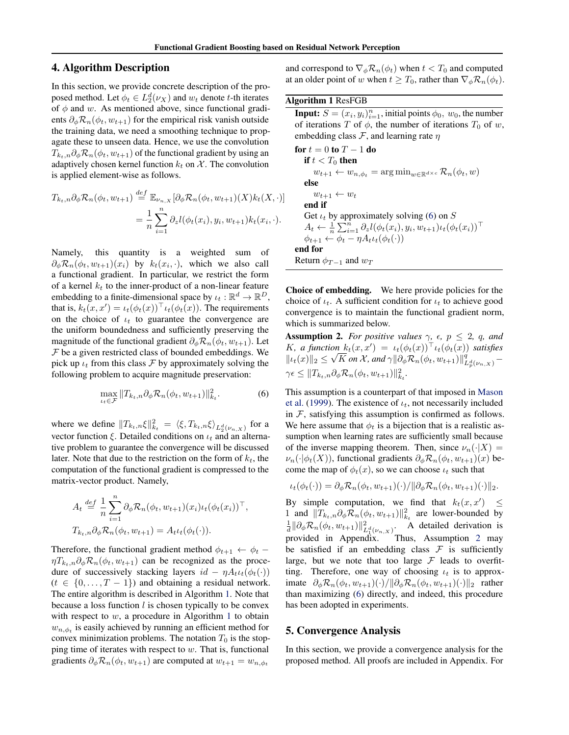## <span id="page-4-0"></span>4. Algorithm Description

In this section, we provide concrete description of the proposed method. Let  $\phi_t \in L_2^d(\nu_X)$  and  $w_t$  denote t-th iterates of  $\phi$  and w. As mentioned above, since functional gradients  $\partial_{\phi} \mathcal{R}_n(\phi_t, w_{t+1})$  for the empirical risk vanish outside the training data, we need a smoothing technique to propagate these to unseen data. Hence, we use the convolution  $T_{k_t,n}\partial_\phi \mathcal{R}_n(\phi_t, w_{t+1})$  of the functional gradient by using an adaptively chosen kernel function  $k_t$  on X. The convolution is applied element-wise as follows.

$$
T_{k_t,n}\partial_{\phi}\mathcal{R}_n(\phi_t, w_{t+1}) \stackrel{def}{=} \mathbb{E}_{\nu_{n,X}}[\partial_{\phi}\mathcal{R}_n(\phi_t, w_{t+1})(X)k_t(X, \cdot)]
$$
  

$$
= \frac{1}{n}\sum_{i=1}^n \partial_z l(\phi_t(x_i), y_i, w_{t+1})k_t(x_i, \cdot).
$$

Namely, this quantity is a weighted sum of  $\partial_{\phi} \mathcal{R}_n(\phi_t, w_{t+1})(x_i)$  by  $k_t(x_i, \cdot)$ , which we also call a functional gradient. In particular, we restrict the form of a kernel  $k_t$  to the inner-product of a non-linear feature embedding to a finite-dimensional space by  $\iota_t : \mathbb{R}^d \to \mathbb{R}^D$ , that is,  $k_t(x, x') = \iota_t(\phi_t(x))^{\top} \iota_t(\phi_t(x))$ . The requirements on the choice of  $\iota_t$  to guarantee the convergence are the uniform boundedness and sufficiently preserving the magnitude of the functional gradient  $\partial_{\phi} \mathcal{R}_n(\phi_t, w_{t+1})$ . Let  $F$  be a given restricted class of bounded embeddings. We pick up  $\iota_t$  from this class F by approximately solving the following problem to acquire magnitude preservation:

$$
\max_{t_t \in \mathcal{F}} \|T_{k_t,n} \partial_\phi \mathcal{R}_n(\phi_t, w_{t+1})\|_{k_t}^2.
$$
 (6)

where we define  $||T_{k_t,n}\xi||_{k_t}^2 = \langle \xi, T_{k_t,n}\xi \rangle_{L_2^d(\nu_{n,X})}$  for a vector function  $\xi$ . Detailed conditions on  $\iota_t$  and an alternative problem to guarantee the convergence will be discussed later. Note that due to the restriction on the form of  $k_t$ , the computation of the functional gradient is compressed to the matrix-vector product. Namely,

$$
A_t \stackrel{def}{=} \frac{1}{n} \sum_{i=1}^n \partial_{\phi} \mathcal{R}_n(\phi_t, w_{t+1})(x_i) \iota_t(\phi_t(x_i))^{\top},
$$
  

$$
T_{k_t,n} \partial_{\phi} \mathcal{R}_n(\phi_t, w_{t+1}) = A_t \iota_t(\phi_t(\cdot)).
$$

Therefore, the functional gradient method  $\phi_{t+1} \leftarrow \phi_t$  –  $\eta T_{k_t,n} \partial_{\phi} \mathcal{R}_n(\phi_t, w_{t+1})$  can be recognized as the procedure of successively stacking layers  $id - \eta A_t \iota_t(\phi_t(\cdot))$  $(t \in \{0, ..., T - 1\})$  and obtaining a residual network. The entire algorithm is described in Algorithm 1. Note that because a loss function  $l$  is chosen typically to be convex with respect to  $w$ , a procedure in Algorithm 1 to obtain  $w_{n,\phi_t}$  is easily achieved by running an efficient method for convex minimization problems. The notation  $T_0$  is the stopping time of iterates with respect to  $w$ . That is, functional gradients  $\partial_{\phi} \mathcal{R}_n(\phi_t, w_{t+1})$  are computed at  $w_{t+1} = w_{n, \phi_t}$ 

and correspond to  $\nabla_{\phi} \mathcal{R}_n(\phi_t)$  when  $t < T_0$  and computed at an older point of w when  $t \geq T_0$ , rather than  $\nabla_{\phi} \mathcal{R}_n(\phi_t)$ .

#### Algorithm 1 ResFGB

**Input:**  $S = (x_i, y_i)_{i=1}^n$ , initial points  $\phi_0$ ,  $w_0$ , the number of iterations T of  $\phi$ , the number of iterations  $T_0$  of w, embedding class  $\mathcal{F}$ , and learning rate  $\eta$ 

for 
$$
t = 0
$$
 to  $T - 1$  do  
\nif  $t < T_0$  then  
\n $w_{t+1} \leftarrow w_{n,\phi_t} = \arg \min_{w \in \mathbb{R}^{d \times c}} \mathcal{R}_n(\phi_t, w)$   
\nelse  
\n $w_{t+1} \leftarrow w_t$   
\nend if  
\nGet  $\iota_t$  by approximately solving (6) on  $S$   
\n $A_t \leftarrow \frac{1}{n} \sum_{i=1}^n \partial_z l(\phi_t(x_i), y_i, w_{t+1}) \iota_t(\phi_t(x_i))^{\top}$   
\n $\phi_{t+1} \leftarrow \phi_t - \eta A_t \iota_t(\phi_t(\cdot))$   
\nend for  
\nReturn  $\phi_{T-1}$  and  $w_T$ 

Choice of embedding. We here provide policies for the choice of  $\iota_t$ . A sufficient condition for  $\iota_t$  to achieve good convergence is to maintain the functional gradient norm, which is summarized below.

**Assumption 2.** *For positive values*  $\gamma$ *,*  $\epsilon$ *,*  $p \leq 2$ *, q, and* K, a function  $k_t(x, x') = \iota_t(\phi_t(x))^{\top} \iota_t(\phi_t(x))$  satisfies  $||\iota_t(x)||_2 \leq$ √  $\overline{K}$  *on*  $\overline{\mathcal{X}}$ *, and*  $\gamma || \partial_{\phi} \overline{\mathcal{R}}_{n}(\phi_t, w_{t+1}) ||_{L^d_{\overline{p}}(\nu_{n},x)}^q \gamma \epsilon \leq \|T_{k_t,n}\partial_\phi \mathcal{R}_n(\phi_t, w_{t+1})\|_{k_t}^2.$ 

This assumption is a counterpart of that imposed in [Mason](#page-8-0) [et al.](#page-8-0) [\(1999\)](#page-8-0). The existence of  $\iota_t$ , not necessarily included in  $F$ , satisfying this assumption is confirmed as follows. We here assume that  $\phi_t$  is a bijection that is a realistic assumption when learning rates are sufficiently small because of the inverse mapping theorem. Then, since  $\nu_n(\cdot|X) =$  $\nu_n(\cdot|\phi_t(X))$ , functional gradients  $\partial_\phi \mathcal{R}_n(\phi_t, w_{t+1})(x)$  become the map of  $\phi_t(x)$ , so we can choose  $\iota_t$  such that

$$
\iota_t(\phi_t(\cdot)) = \partial_\phi \mathcal{R}_n(\phi_t, w_{t+1})(\cdot)/\|\partial_\phi \mathcal{R}_n(\phi_t, w_{t+1})(\cdot)\|_2.
$$

By simple computation, we find that  $k_t(x, x') \leq$ 1 and  $||T_{k_t,n}\partial_{\phi}\mathcal{R}_n(\phi_t, w_{t+1})||_{k_t}^2$  are lower-bounded by  $\frac{1}{d} \|\partial_{\phi} \mathcal{R}_n(\phi_t, w_{t+1})\|_{L_1^d(\nu_{n,X})}^2$ . A detailed derivation is provided in Appendix. Thus, Assumption 2 may be satisfied if an embedding class  $\mathcal F$  is sufficiently large, but we note that too large  $\mathcal F$  leads to overfitting. Therefore, one way of choosing  $\iota_t$  is to approximate  $\partial_{\phi} \mathcal{R}_n(\phi_t, w_{t+1})(\cdot)/\|\partial_{\phi} \mathcal{R}_n(\phi_t, w_{t+1})(\cdot)\|_2$  rather than maximizing (6) directly, and indeed, this procedure has been adopted in experiments.

## 5. Convergence Analysis

In this section, we provide a convergence analysis for the proposed method. All proofs are included in Appendix. For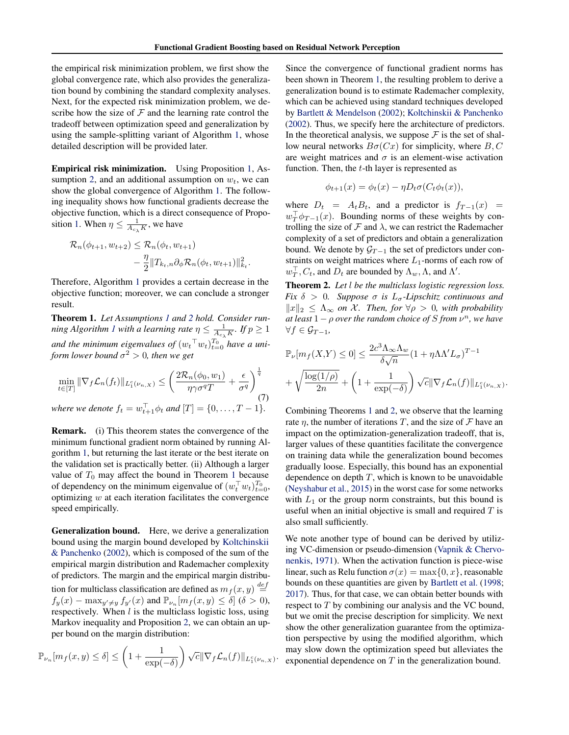<span id="page-5-0"></span>the empirical risk minimization problem, we first show the global convergence rate, which also provides the generalization bound by combining the standard complexity analyses. Next, for the expected risk minimization problem, we describe how the size of  $F$  and the learning rate control the tradeoff between optimization speed and generalization by using the sample-splitting variant of Algorithm [1,](#page-4-0) whose detailed description will be provided later.

Empirical risk minimization. Using Proposition [1,](#page-2-0) As-sumption [2,](#page-4-0) and an additional assumption on  $w_t$ , we can show the global convergence of Algorithm [1.](#page-4-0) The following inequality shows how functional gradients decrease the objective function, which is a direct consequence of Propo-sition [1.](#page-2-0) When  $\eta \leq \frac{1}{A_{c_{\lambda}} K}$ , we have

$$
\mathcal{R}_n(\phi_{t+1}, w_{t+2}) \leq \mathcal{R}_n(\phi_t, w_{t+1}) - \frac{\eta}{2} ||T_{k_t,n} \partial_\phi \mathcal{R}_n(\phi_t, w_{t+1})||_{k_t}^2.
$$

Therefore, Algorithm [1](#page-4-0) provides a certain decrease in the objective function; moreover, we can conclude a stronger result.

Theorem 1. *Let Assumptions [1](#page-2-0) and [2](#page-4-0) hold. Consider run-ning Algorithm [1](#page-4-0) with a learning rate*  $\eta \leq \frac{1}{A_{c_\lambda}K}$ *. If*  $p \geq 1$ and the minimum eigenvalues of  $(w_t\supseteq w_t)_{t=0}^{T_0}$  have a uni*form lower bound*  $\sigma^2 > 0$ *, then we get* 

$$
\min_{t \in [T]} \|\nabla_f \mathcal{L}_n(f_t)\|_{L_1^c(\nu_{n,X})} \le \left(\frac{2\mathcal{R}_n(\phi_0, w_1)}{\eta \gamma \sigma^q T} + \frac{\epsilon}{\sigma^q}\right)^{\frac{1}{q}}.
$$
\n
$$
\text{where we denote } f_t = w_{t+1}^\top \phi_t \text{ and } [T] = \{0, \dots, T-1\}.
$$

Remark. (i) This theorem states the convergence of the minimum functional gradient norm obtained by running Algorithm [1,](#page-4-0) but returning the last iterate or the best iterate on the validation set is practically better. (ii) Although a larger value of  $T_0$  may affect the bound in Theorem 1 because of dependency on the minimum eigenvalue of  $(w_t^\top w_t)_{t=0}^{T_0}$ , optimizing  $w$  at each iteration facilitates the convergence speed empirically.

Generalization bound. Here, we derive a generalization bound using the margin bound developed by [Koltchinskii](#page-8-0) [& Panchenko](#page-8-0) [\(2002\)](#page-8-0), which is composed of the sum of the empirical margin distribution and Rademacher complexity of predictors. The margin and the empirical margin distribution for multiclass classification are defined as  $m_f(x, y) \stackrel{def}{=}$  $f_y(x) - \max_{y' \neq y} f_{y'}(x)$  and  $\mathbb{P}_{\nu_n}[m_f(x, y) \leq \delta]$   $(\delta > 0)$ , respectively. When  $l$  is the multiclass logistic loss, using Markov inequality and Proposition [2,](#page-3-0) we can obtain an upper bound on the margin distribution:

$$
\mathbb{P}_{\nu_n}[m_f(x,y) \le \delta] \le \left(1 + \frac{1}{\exp(-\delta)}\right) \sqrt{c} \|\nabla_f \mathcal{L}_n(f)\|_{L_1^c(\nu_{n,X})}
$$

.

Since the convergence of functional gradient norms has been shown in Theorem 1, the resulting problem to derive a generalization bound is to estimate Rademacher complexity, which can be achieved using standard techniques developed by [Bartlett & Mendelson](#page-8-0) [\(2002\)](#page-8-0); [Koltchinskii & Panchenko](#page-8-0) [\(2002\)](#page-8-0). Thus, we specify here the architecture of predictors. In the theoretical analysis, we suppose  $\mathcal F$  is the set of shallow neural networks  $B\sigma(Cx)$  for simplicity, where B, C are weight matrices and  $\sigma$  is an element-wise activation function. Then, the t-th layer is represented as

$$
\phi_{t+1}(x) = \phi_t(x) - \eta D_t \sigma(C_t \phi_t(x)),
$$

where  $D_t = A_t B_t$ , and a predictor is  $f_{T-1}(x) =$  $w_T^{\top} \phi_{T-1}(x)$ . Bounding norms of these weights by controlling the size of  $\mathcal F$  and  $\lambda$ , we can restrict the Rademacher complexity of a set of predictors and obtain a generalization bound. We denote by  $\mathcal{G}_{T-1}$  the set of predictors under constraints on weight matrices where  $L_1$ -norms of each row of  $w_T^{\top}, C_t$ , and  $D_t$  are bounded by  $\Lambda_w, \Lambda$ , and  $\Lambda'$ .

Theorem 2. *Let* l *be the multiclass logistic regression loss. Fix*  $\delta > 0$ *. Suppose*  $\sigma$  *is*  $L_{\sigma}$ -*Lipschitz continuous and*  $||x||_2 \leq \Lambda_{\infty}$  *on* X. Then, for  $\forall \rho > 0$ , with probability  $a$ *t* least  $1 - \rho$  *over the random choice of*  $S$  *from*  $\nu<sup>n</sup>$ *, we have*  $\forall f \in \mathcal{G}_{T-1}$ ,

$$
\mathbb{P}_{\nu}[m_f(X,Y) \le 0] \le \frac{2c^3 \Lambda_{\infty} \Lambda_w}{\delta \sqrt{n}} (1 + \eta \Lambda \Lambda' L_{\sigma})^{T-1} + \sqrt{\frac{\log(1/\rho)}{2n}} + \left(1 + \frac{1}{\exp(-\delta)}\right) \sqrt{c} \|\nabla_f \mathcal{L}_n(f)\|_{L_1^c(\nu_{n,X})}.
$$

Combining Theorems 1 and 2, we observe that the learning rate  $\eta$ , the number of iterations T, and the size of F have an impact on the optimization-generalization tradeoff, that is, larger values of these quantities facilitate the convergence on training data while the generalization bound becomes gradually loose. Especially, this bound has an exponential dependence on depth  $T$ , which is known to be unavoidable [\(Neyshabur et al.,](#page-8-0) [2015\)](#page-8-0) in the worst case for some networks with  $L_1$  or the group norm constraints, but this bound is useful when an initial objective is small and required  $T$  is also small sufficiently.

We note another type of bound can be derived by utilizing VC-dimension or pseudo-dimension [\(Vapnik & Chervo](#page-9-0)[nenkis,](#page-9-0) [1971\)](#page-9-0). When the activation function is piece-wise linear, such as Relu function  $\sigma(x) = \max\{0, x\}$ , reasonable bounds on these quantities are given by [Bartlett et al.](#page-8-0) [\(1998;](#page-8-0) [2017\)](#page-8-0). Thus, for that case, we can obtain better bounds with respect to T by combining our analysis and the VC bound, but we omit the precise description for simplicity. We next show the other generalization guarantee from the optimization perspective by using the modified algorithm, which may slow down the optimization speed but alleviates the exponential dependence on  $T$  in the generalization bound.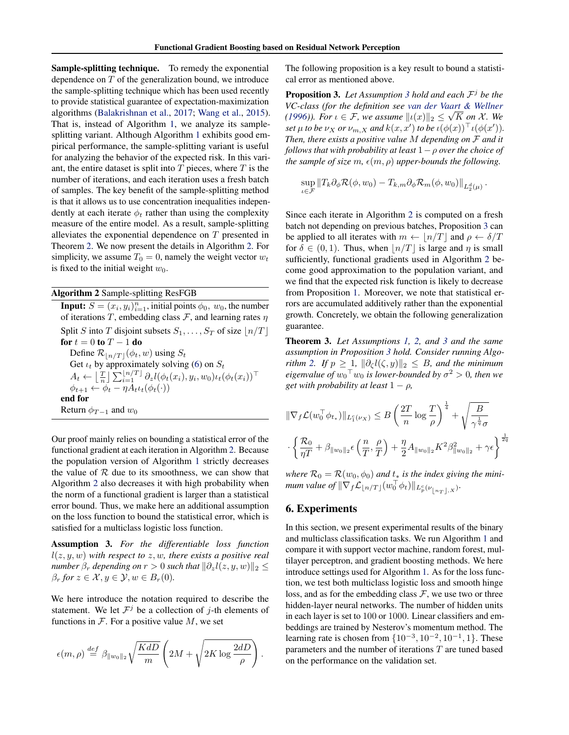Sample-splitting technique. To remedy the exponential dependence on T of the generalization bound, we introduce the sample-splitting technique which has been used recently to provide statistical guarantee of expectation-maximization algorithms [\(Balakrishnan et al.,](#page-8-0) [2017;](#page-8-0) [Wang et al.,](#page-9-0) [2015\)](#page-9-0). That is, instead of Algorithm [1,](#page-4-0) we analyze its samplesplitting variant. Although Algorithm [1](#page-4-0) exhibits good empirical performance, the sample-splitting variant is useful for analyzing the behavior of the expected risk. In this variant, the entire dataset is split into  $T$  pieces, where  $T$  is the number of iterations, and each iteration uses a fresh batch of samples. The key benefit of the sample-splitting method is that it allows us to use concentration inequalities independently at each iterate  $\phi_t$  rather than using the complexity measure of the entire model. As a result, sample-splitting alleviates the exponential dependence on T presented in Theorem [2.](#page-5-0) We now present the details in Algorithm 2. For simplicity, we assume  $T_0 = 0$ , namely the weight vector  $w_t$ is fixed to the initial weight  $w_0$ .

#### Algorithm 2 Sample-splitting ResFGB

**Input:**  $S = (x_i, y_i)_{i=1}^n$ , initial points  $\phi_0$ ,  $w_0$ , the number of iterations T, embedding class  $\mathcal F$ , and learning rates  $\eta$ Split S into T disjoint subsets  $S_1, \ldots, S_T$  of size  $\lfloor n/T \rfloor$ for  $t = 0$  to  $T - 1$  do Define  $\mathcal{R}_{\lfloor n/T \rfloor}(\phi_t, w)$  using  $S_t$ Get  $\iota_t$  by approximately solving [\(6\)](#page-4-0) on  $S_t$  $A_t \leftarrow \left\lfloor \frac{T}{n} \right\rfloor \sum_{i=1}^{\lfloor n/T \rfloor} \partial_z l(\phi_t(x_i), y_i, w_0) \iota_t(\phi_t(x_i))^{\top}$  $\phi_{t+1} \leftarrow \phi_t - \eta A_t \iota_t(\phi_t(\cdot))$ end for Return  $\phi_{T-1}$  and  $w_0$ 

Our proof mainly relies on bounding a statistical error of the functional gradient at each iteration in Algorithm 2. Because the population version of Algorithm [1](#page-4-0) strictly decreases the value of  $R$  due to its smoothness, we can show that Algorithm 2 also decreases it with high probability when the norm of a functional gradient is larger than a statistical error bound. Thus, we make here an additional assumption on the loss function to bound the statistical error, which is satisfied for a multiclass logistic loss function.

Assumption 3. *For the differentiable loss function* l(z, y, w) *with respect to* z, w*, there exists a positive real number*  $\beta_r$  *depending on*  $r > 0$  *such that*  $\|\partial_z l(z, y, w)\|_2 \leq$  $\beta_r$  *for*  $z \in \mathcal{X}, y \in \mathcal{Y}, w \in B_r(0)$ *.* 

We here introduce the notation required to describe the statement. We let  $\mathcal{F}^j$  be a collection of j-th elements of functions in  $\mathcal F$ . For a positive value  $M$ , we set

$$
\epsilon(m,\rho) \stackrel{def}{=} \beta_{\|w_0\|_2} \sqrt{\frac{KdD}{m}} \left(2M + \sqrt{2K \log \frac{2dD}{\rho}}\right).
$$

The following proposition is a key result to bound a statistical error as mentioned above.

Proposition 3. *Let Assumption 3 hold and each* F <sup>j</sup> *be the VC-class (for the definition see [van der Vaart & Wellner](#page-9-0)* √ *[\(1996\)](#page-9-0)). For*  $\iota \in \mathcal{F}$ , we assume  $\|\iota(x)\|_2 \leq \sqrt{K}$  on X. We *set*  $\mu$  *to be*  $\nu_X$  *or*  $\nu_{m,X}$  *and*  $k(x, x')$  *to be*  $\iota(\phi(x))^{\top} \iota(\phi(x'))$ *. Then, there exists a positive value* M *depending on* F *and it follows that with probability at least* 1−ρ *over the choice of the sample of size* m,  $\epsilon(m, \rho)$  *upper-bounds the following.* 

$$
\sup_{\iota \in \mathcal{F}} \|T_k \partial_{\phi} \mathcal{R}(\phi, w_0) - T_{k,m} \partial_{\phi} \mathcal{R}_m(\phi, w_0) \|_{L_2^d(\mu)}.
$$

Since each iterate in Algorithm 2 is computed on a fresh batch not depending on previous batches, Proposition 3 can be applied to all iterates with  $m \leftarrow |n/T|$  and  $\rho \leftarrow \delta/T$ for  $\delta \in (0, 1)$ . Thus, when  $\lfloor n/T \rfloor$  is large and  $\eta$  is small sufficiently, functional gradients used in Algorithm 2 become good approximation to the population variant, and we find that the expected risk function is likely to decrease from Proposition [1.](#page-2-0) Moreover, we note that statistical errors are accumulated additively rather than the exponential growth. Concretely, we obtain the following generalization guarantee.

Theorem 3. *Let Assumptions [1,](#page-2-0) [2,](#page-4-0) and 3 and the same assumption in Proposition 3 hold. Consider running Algorithm* 2. If  $p \geq 1$ ,  $\|\partial_{\zeta}l(\zeta, y)\|_2 \leq B$ , and the minimum *eigenvalue of*  $w_0$ <sup>T</sup> $w_0$  *is lower-bounded by*  $\sigma^2 > 0$ *, then we get with probability at least*  $1 - \rho$ *,* 

$$
\|\nabla_f \mathcal{L}(w_0^\top \phi_{t_*})\|_{L_1^c(\nu_X)} \le B \left(\frac{2T}{n} \log \frac{T}{\rho}\right)^{\frac{1}{4}} + \sqrt{\frac{B}{\gamma^{\frac{1}{q}} \sigma}}
$$

$$
\cdot \left\{\frac{\mathcal{R}_0}{\eta T} + \beta_{\|w_0\|_2} \epsilon\left(\frac{n}{T}, \frac{\rho}{T}\right) + \frac{\eta}{2} A_{\|w_0\|_2} K^2 \beta_{\|w_0\|_2}^2 + \gamma \epsilon \right\}^{\frac{1}{2q}}
$$

*where*  $\mathcal{R}_0 = \mathcal{R}(w_0, \phi_0)$  *and*  $t_*$  *is the index giving the minimum value of*  $\|\nabla_f \mathcal{L}_{\lfloor n/T \rfloor}(w_0^\top \phi_t) \|_{L_p^c(\nu_{\lfloor n_T \rfloor, X})}.$ 

#### 6. Experiments

In this section, we present experimental results of the binary and multiclass classification tasks. We run Algorithm [1](#page-4-0) and compare it with support vector machine, random forest, multilayer perceptron, and gradient boosting methods. We here introduce settings used for Algorithm [1.](#page-4-0) As for the loss function, we test both multiclass logistic loss and smooth hinge loss, and as for the embedding class  $\mathcal{F}$ , we use two or three hidden-layer neural networks. The number of hidden units in each layer is set to 100 or 1000. Linear classifiers and embeddings are trained by Nesterov's momentum method. The learning rate is chosen from  $\{10^{-3}, 10^{-2}, 10^{-1}, 1\}$ . These parameters and the number of iterations T are tuned based on the performance on the validation set.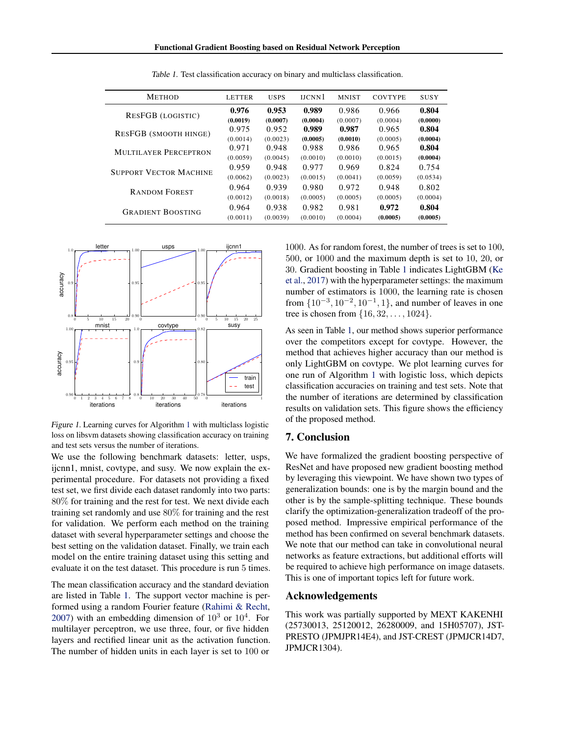| <b>METHOD</b>                 | <b>LETTER</b> | <b>USPS</b> | <b>HCNN1</b> | <b>MNIST</b> | <b>COVTYPE</b> | <b>SUSY</b> |
|-------------------------------|---------------|-------------|--------------|--------------|----------------|-------------|
| <b>RESFGB</b> (LOGISTIC)      | 0.976         | 0.953       | 0.989        | 0.986        | 0.966          | 0.804       |
|                               | (0.0019)      | (0.0007)    | (0.0004)     | (0.0007)     | (0.0004)       | (0.0000)    |
| RESFGB (SMOOTH HINGE)         | 0.975         | 0.952       | 0.989        | 0.987        | 0.965          | 0.804       |
|                               | (0.0014)      | (0.0023)    | (0.0005)     | (0.0010)     | (0.0005)       | (0.0004)    |
| <b>MULTILAYER PERCEPTRON</b>  | 0.971         | 0.948       | 0.988        | 0.986        | 0.965          | 0.804       |
|                               | (0.0059)      | (0.0045)    | (0.0010)     | (0.0010)     | (0.0015)       | (0.0004)    |
| <b>SUPPORT VECTOR MACHINE</b> | 0.959         | 0.948       | 0.977        | 0.969        | 0.824          | 0.754       |
|                               | (0.0062)      | (0.0023)    | (0.0015)     | (0.0041)     | (0.0059)       | (0.0534)    |
| <b>RANDOM FOREST</b>          | 0.964         | 0.939       | 0.980        | 0.972        | 0.948          | 0.802       |
|                               | (0.0012)      | (0.0018)    | (0.0005)     | (0.0005)     | (0.0005)       | (0.0004)    |
| <b>GRADIENT BOOSTING</b>      | 0.964         | 0.938       | 0.982        | 0.981        | 0.972          | 0.804       |
|                               | (0.0011)      | (0.0039)    | (0.0010)     | (0.0004)     | (0.0005)       | (0.0005)    |
|                               |               |             |              |              |                |             |

Table 1. Test classification accuracy on binary and multiclass classification.



Figure 1. Learning curves for Algorithm [1](#page-4-0) with multiclass logistic loss on libsvm datasets showing classification accuracy on training and test sets versus the number of iterations.

We use the following benchmark datasets: letter, usps, ijcnn1, mnist, covtype, and susy. We now explain the experimental procedure. For datasets not providing a fixed test set, we first divide each dataset randomly into two parts: 80% for training and the rest for test. We next divide each training set randomly and use 80% for training and the rest for validation. We perform each method on the training dataset with several hyperparameter settings and choose the best setting on the validation dataset. Finally, we train each model on the entire training dataset using this setting and evaluate it on the test dataset. This procedure is run 5 times.

The mean classification accuracy and the standard deviation are listed in Table 1. The support vector machine is performed using a random Fourier feature [\(Rahimi & Recht,](#page-9-0) [2007\)](#page-9-0) with an embedding dimension of  $10^3$  or  $10^4$ . For multilayer perceptron, we use three, four, or five hidden layers and rectified linear unit as the activation function. The number of hidden units in each layer is set to 100 or

1000. As for random forest, the number of trees is set to 100, 500, or 1000 and the maximum depth is set to 10, 20, or 30. Gradient boosting in Table 1 indicates LightGBM [\(Ke](#page-8-0) [et al.,](#page-8-0) [2017\)](#page-8-0) with the hyperparameter settings: the maximum number of estimators is 1000, the learning rate is chosen from  $\{10^{-3}, 10^{-2}, 10^{-1}, 1\}$ , and number of leaves in one tree is chosen from  $\{16, 32, ..., 1024\}.$ 

As seen in Table 1, our method shows superior performance over the competitors except for covtype. However, the method that achieves higher accuracy than our method is only LightGBM on covtype. We plot learning curves for one run of Algorithm [1](#page-4-0) with logistic loss, which depicts classification accuracies on training and test sets. Note that the number of iterations are determined by classification results on validation sets. This figure shows the efficiency of the proposed method.

### 7. Conclusion

We have formalized the gradient boosting perspective of ResNet and have proposed new gradient boosting method by leveraging this viewpoint. We have shown two types of generalization bounds: one is by the margin bound and the other is by the sample-splitting technique. These bounds clarify the optimization-generalization tradeoff of the proposed method. Impressive empirical performance of the method has been confirmed on several benchmark datasets. We note that our method can take in convolutional neural networks as feature extractions, but additional efforts will be required to achieve high performance on image datasets. This is one of important topics left for future work.

#### Acknowledgements

This work was partially supported by MEXT KAKENHI (25730013, 25120012, 26280009, and 15H05707), JST-PRESTO (JPMJPR14E4), and JST-CREST (JPMJCR14D7, JPMJCR1304).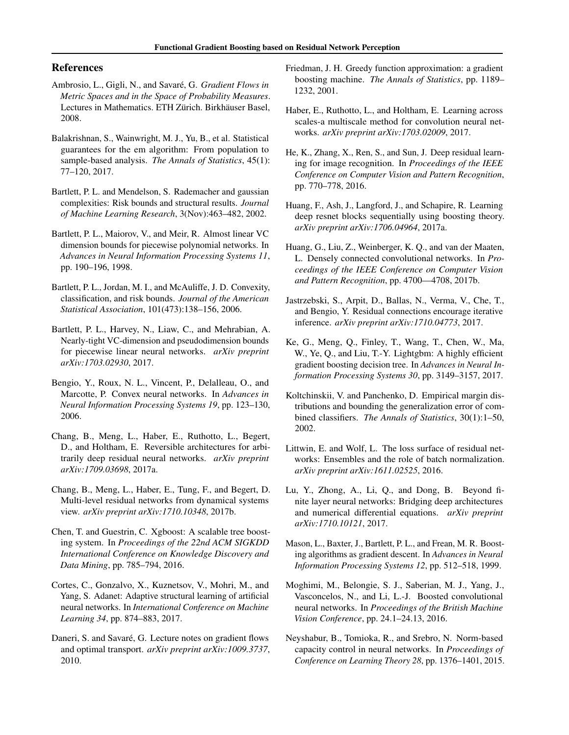## <span id="page-8-0"></span>References

- Ambrosio, L., Gigli, N., and Savaré, G. *Gradient Flows in Metric Spaces and in the Space of Probability Measures*. Lectures in Mathematics. ETH Zürich. Birkhäuser Basel, 2008.
- Balakrishnan, S., Wainwright, M. J., Yu, B., et al. Statistical guarantees for the em algorithm: From population to sample-based analysis. *The Annals of Statistics*, 45(1): 77–120, 2017.
- Bartlett, P. L. and Mendelson, S. Rademacher and gaussian complexities: Risk bounds and structural results. *Journal of Machine Learning Research*, 3(Nov):463–482, 2002.
- Bartlett, P. L., Maiorov, V., and Meir, R. Almost linear VC dimension bounds for piecewise polynomial networks. In *Advances in Neural Information Processing Systems 11*, pp. 190–196, 1998.
- Bartlett, P. L., Jordan, M. I., and McAuliffe, J. D. Convexity, classification, and risk bounds. *Journal of the American Statistical Association*, 101(473):138–156, 2006.
- Bartlett, P. L., Harvey, N., Liaw, C., and Mehrabian, A. Nearly-tight VC-dimension and pseudodimension bounds for piecewise linear neural networks. *arXiv preprint arXiv:1703.02930*, 2017.
- Bengio, Y., Roux, N. L., Vincent, P., Delalleau, O., and Marcotte, P. Convex neural networks. In *Advances in Neural Information Processing Systems 19*, pp. 123–130, 2006.
- Chang, B., Meng, L., Haber, E., Ruthotto, L., Begert, D., and Holtham, E. Reversible architectures for arbitrarily deep residual neural networks. *arXiv preprint arXiv:1709.03698*, 2017a.
- Chang, B., Meng, L., Haber, E., Tung, F., and Begert, D. Multi-level residual networks from dynamical systems view. *arXiv preprint arXiv:1710.10348*, 2017b.
- Chen, T. and Guestrin, C. Xgboost: A scalable tree boosting system. In *Proceedings of the 22nd ACM SIGKDD International Conference on Knowledge Discovery and Data Mining*, pp. 785–794, 2016.
- Cortes, C., Gonzalvo, X., Kuznetsov, V., Mohri, M., and Yang, S. Adanet: Adaptive structural learning of artificial neural networks. In *International Conference on Machine Learning 34*, pp. 874–883, 2017.
- Daneri, S. and Savaré, G. Lecture notes on gradient flows and optimal transport. *arXiv preprint arXiv:1009.3737*, 2010.
- Friedman, J. H. Greedy function approximation: a gradient boosting machine. *The Annals of Statistics*, pp. 1189– 1232, 2001.
- Haber, E., Ruthotto, L., and Holtham, E. Learning across scales-a multiscale method for convolution neural networks. *arXiv preprint arXiv:1703.02009*, 2017.
- He, K., Zhang, X., Ren, S., and Sun, J. Deep residual learning for image recognition. In *Proceedings of the IEEE Conference on Computer Vision and Pattern Recognition*, pp. 770–778, 2016.
- Huang, F., Ash, J., Langford, J., and Schapire, R. Learning deep resnet blocks sequentially using boosting theory. *arXiv preprint arXiv:1706.04964*, 2017a.
- Huang, G., Liu, Z., Weinberger, K. Q., and van der Maaten, L. Densely connected convolutional networks. In *Proceedings of the IEEE Conference on Computer Vision and Pattern Recognition*, pp. 4700—4708, 2017b.
- Jastrzebski, S., Arpit, D., Ballas, N., Verma, V., Che, T., and Bengio, Y. Residual connections encourage iterative inference. *arXiv preprint arXiv:1710.04773*, 2017.
- Ke, G., Meng, Q., Finley, T., Wang, T., Chen, W., Ma, W., Ye, Q., and Liu, T.-Y. Lightgbm: A highly efficient gradient boosting decision tree. In *Advances in Neural Information Processing Systems 30*, pp. 3149–3157, 2017.
- Koltchinskii, V. and Panchenko, D. Empirical margin distributions and bounding the generalization error of combined classifiers. *The Annals of Statistics*, 30(1):1–50, 2002.
- Littwin, E. and Wolf, L. The loss surface of residual networks: Ensembles and the role of batch normalization. *arXiv preprint arXiv:1611.02525*, 2016.
- Lu, Y., Zhong, A., Li, Q., and Dong, B. Beyond finite layer neural networks: Bridging deep architectures and numerical differential equations. *arXiv preprint arXiv:1710.10121*, 2017.
- Mason, L., Baxter, J., Bartlett, P. L., and Frean, M. R. Boosting algorithms as gradient descent. In *Advances in Neural Information Processing Systems 12*, pp. 512–518, 1999.
- Moghimi, M., Belongie, S. J., Saberian, M. J., Yang, J., Vasconcelos, N., and Li, L.-J. Boosted convolutional neural networks. In *Proceedings of the British Machine Vision Conference*, pp. 24.1–24.13, 2016.
- Neyshabur, B., Tomioka, R., and Srebro, N. Norm-based capacity control in neural networks. In *Proceedings of Conference on Learning Theory 28*, pp. 1376–1401, 2015.